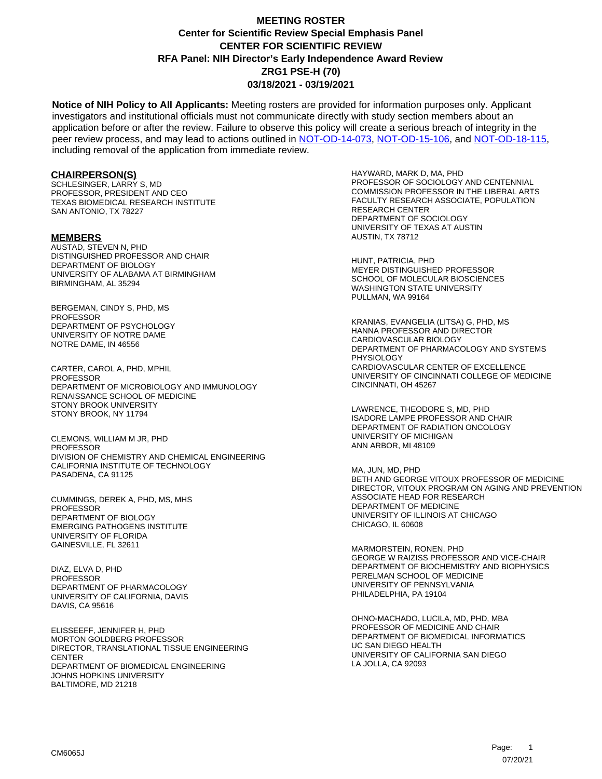**Notice of NIH Policy to All Applicants:** Meeting rosters are provided for information purposes only. Applicant investigators and institutional officials must not communicate directly with study section members about an application before or after the review. Failure to observe this policy will create a serious breach of integrity in the peer review process, and may lead to actions outlined in [NOT-OD-14-073,](https://grants.nih.gov/grants/guide/notice-files/NOT-OD-14-073.html) [NOT-OD-15-106,](https://grants.nih.gov/grants/guide/notice-files/NOT-OD-15-106.html) and [NOT-OD-18-115,](https://grants.nih.gov/grants/guide/notice-files/NOT-OD-18-115.html) including removal of the application from immediate review.

#### **CHAIRPERSON(S)**

SCHLESINGER, LARRY S, MD PROFESSOR, PRESIDENT AND CEO TEXAS BIOMEDICAL RESEARCH INSTITUTE SAN ANTONIO, TX 78227

#### **MEMBERS**

AUSTAD, STEVEN N, PHD DISTINGUISHED PROFESSOR AND CHAIR DEPARTMENT OF BIOLOGY UNIVERSITY OF ALABAMA AT BIRMINGHAM BIRMINGHAM, AL 35294

BERGEMAN, CINDY S, PHD, MS PROFESSOR DEPARTMENT OF PSYCHOLOGY UNIVERSITY OF NOTRE DAME NOTRE DAME, IN 46556

CARTER, CAROL A, PHD, MPHIL **PROFESSOR** DEPARTMENT OF MICROBIOLOGY AND IMMUNOLOGY RENAISSANCE SCHOOL OF MEDICINE STONY BROOK UNIVERSITY STONY BROOK, NY 11794

CLEMONS, WILLIAM M JR, PHD **PROFESSOR** DIVISION OF CHEMISTRY AND CHEMICAL ENGINEERING CALIFORNIA INSTITUTE OF TECHNOLOGY PASADENA, CA 91125

CUMMINGS, DEREK A, PHD, MS, MHS PROFESSOR DEPARTMENT OF BIOLOGY EMERGING PATHOGENS INSTITUTE UNIVERSITY OF FLORIDA GAINESVILLE, FL 32611

DIAZ, ELVA D, PHD **PROFESSOR** DEPARTMENT OF PHARMACOLOGY UNIVERSITY OF CALIFORNIA, DAVIS DAVIS, CA 95616

ELISSEEFF, JENNIFER H, PHD MORTON GOLDBERG PROFESSOR DIRECTOR, TRANSLATIONAL TISSUE ENGINEERING **CENTER** DEPARTMENT OF BIOMEDICAL ENGINEERING JOHNS HOPKINS UNIVERSITY BALTIMORE, MD 21218

HAYWARD, MARK D, MA, PHD PROFESSOR OF SOCIOLOGY AND CENTENNIAL COMMISSION PROFESSOR IN THE LIBERAL ARTS FACULTY RESEARCH ASSOCIATE, POPULATION RESEARCH CENTER DEPARTMENT OF SOCIOLOGY UNIVERSITY OF TEXAS AT AUSTIN AUSTIN, TX 78712

HUNT, PATRICIA, PHD MEYER DISTINGUISHED PROFESSOR SCHOOL OF MOLECULAR BIOSCIENCES WASHINGTON STATE UNIVERSITY PULLMAN, WA 99164

KRANIAS, EVANGELIA (LITSA) G, PHD, MS HANNA PROFESSOR AND DIRECTOR CARDIOVASCULAR BIOLOGY DEPARTMENT OF PHARMACOLOGY AND SYSTEMS PHYSIOLOGY CARDIOVASCULAR CENTER OF EXCELLENCE UNIVERSITY OF CINCINNATI COLLEGE OF MEDICINE CINCINNATI, OH 45267

LAWRENCE, THEODORE S, MD, PHD ISADORE LAMPE PROFESSOR AND CHAIR DEPARTMENT OF RADIATION ONCOLOGY UNIVERSITY OF MICHIGAN ANN ARBOR, MI 48109

MA, JUN, MD, PHD BETH AND GEORGE VITOUX PROFESSOR OF MEDICINE DIRECTOR, VITOUX PROGRAM ON AGING AND PREVENTION ASSOCIATE HEAD FOR RESEARCH DEPARTMENT OF MEDICINE UNIVERSITY OF ILLINOIS AT CHICAGO CHICAGO, IL 60608

MARMORSTEIN, RONEN, PHD GEORGE W RAIZISS PROFESSOR AND VICE-CHAIR DEPARTMENT OF BIOCHEMISTRY AND BIOPHYSICS PERELMAN SCHOOL OF MEDICINE UNIVERSITY OF PENNSYLVANIA PHILADELPHIA, PA 19104

OHNO-MACHADO, LUCILA, MD, PHD, MBA PROFESSOR OF MEDICINE AND CHAIR DEPARTMENT OF BIOMEDICAL INFORMATICS UC SAN DIEGO HEALTH UNIVERSITY OF CALIFORNIA SAN DIEGO LA JOLLA, CA 92093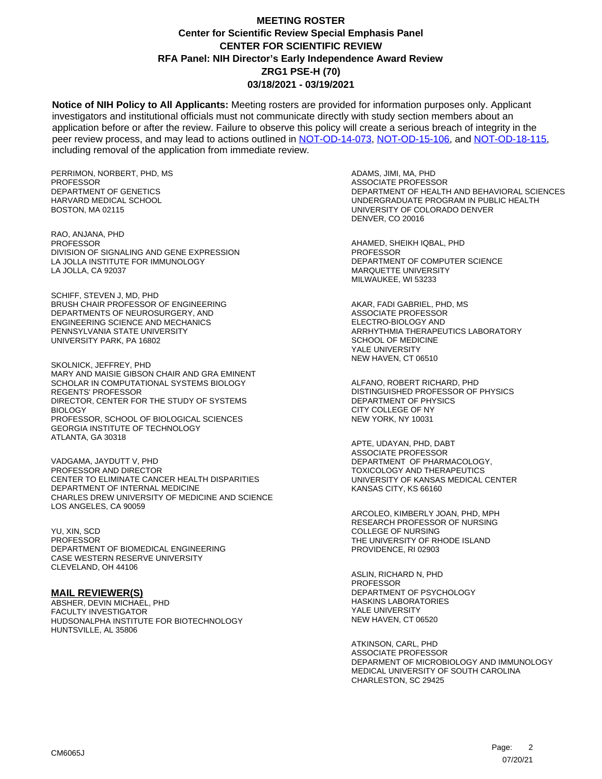**Notice of NIH Policy to All Applicants:** Meeting rosters are provided for information purposes only. Applicant investigators and institutional officials must not communicate directly with study section members about an application before or after the review. Failure to observe this policy will create a serious breach of integrity in the peer review process, and may lead to actions outlined in [NOT-OD-14-073,](https://grants.nih.gov/grants/guide/notice-files/NOT-OD-14-073.html) [NOT-OD-15-106,](https://grants.nih.gov/grants/guide/notice-files/NOT-OD-15-106.html) and [NOT-OD-18-115,](https://grants.nih.gov/grants/guide/notice-files/NOT-OD-18-115.html) including removal of the application from immediate review.

PERRIMON, NORBERT, PHD, MS PROFESSOR DEPARTMENT OF GENETICS HARVARD MEDICAL SCHOOL BOSTON, MA 02115

RAO, ANJANA, PHD **PROFESSOR** DIVISION OF SIGNALING AND GENE EXPRESSION LA JOLLA INSTITUTE FOR IMMUNOLOGY LA JOLLA, CA 92037

SCHIFF, STEVEN J, MD, PHD BRUSH CHAIR PROFESSOR OF ENGINEERING DEPARTMENTS OF NEUROSURGERY, AND ENGINEERING SCIENCE AND MECHANICS PENNSYLVANIA STATE UNIVERSITY UNIVERSITY PARK, PA 16802

SKOLNICK, JEFFREY, PHD MARY AND MAISIE GIBSON CHAIR AND GRA EMINENT SCHOLAR IN COMPUTATIONAL SYSTEMS BIOLOGY REGENTS' PROFESSOR DIRECTOR, CENTER FOR THE STUDY OF SYSTEMS BIOLOGY PROFESSOR, SCHOOL OF BIOLOGICAL SCIENCES GEORGIA INSTITUTE OF TECHNOLOGY ATLANTA, GA 30318

VADGAMA, JAYDUTT V, PHD PROFESSOR AND DIRECTOR CENTER TO ELIMINATE CANCER HEALTH DISPARITIES DEPARTMENT OF INTERNAL MEDICINE CHARLES DREW UNIVERSITY OF MEDICINE AND SCIENCE LOS ANGELES, CA 90059

YU, XIN, SCD PROFESSOR DEPARTMENT OF BIOMEDICAL ENGINEERING CASE WESTERN RESERVE UNIVERSITY CLEVELAND, OH 44106

#### **MAIL REVIEWER(S)**

ABSHER, DEVIN MICHAEL, PHD FACULTY INVESTIGATOR HUDSONALPHA INSTITUTE FOR BIOTECHNOLOGY HUNTSVILLE, AL 35806

ADAMS, JIMI, MA, PHD ASSOCIATE PROFESSOR DEPARTMENT OF HEALTH AND BEHAVIORAL SCIENCES UNDERGRADUATE PROGRAM IN PUBLIC HEALTH UNIVERSITY OF COLORADO DENVER DENVER, CO 20016

AHAMED, SHEIKH IQBAL, PHD PROFESSOR DEPARTMENT OF COMPUTER SCIENCE MARQUETTE UNIVERSITY MILWAUKEE, WI 53233

AKAR, FADI GABRIEL, PHD, MS ASSOCIATE PROFESSOR ELECTRO-BIOLOGY AND ARRHYTHMIA THERAPEUTICS LABORATORY SCHOOL OF MEDICINE YALE UNIVERSITY NEW HAVEN, CT 06510

ALFANO, ROBERT RICHARD, PHD DISTINGUISHED PROFESSOR OF PHYSICS DEPARTMENT OF PHYSICS CITY COLLEGE OF NY NEW YORK, NY 10031

APTE, UDAYAN, PHD, DABT ASSOCIATE PROFESSOR DEPARTMENT OF PHARMACOLOGY, TOXICOLOGY AND THERAPEUTICS UNIVERSITY OF KANSAS MEDICAL CENTER KANSAS CITY, KS 66160

ARCOLEO, KIMBERLY JOAN, PHD, MPH RESEARCH PROFESSOR OF NURSING COLLEGE OF NURSING THE UNIVERSITY OF RHODE ISLAND PROVIDENCE, RI 02903

ASLIN, RICHARD N, PHD PROFESSOR DEPARTMENT OF PSYCHOLOGY HASKINS LABORATORIES YALE UNIVERSITY NEW HAVEN, CT 06520

ATKINSON, CARL, PHD ASSOCIATE PROFESSOR DEPARMENT OF MICROBIOLOGY AND IMMUNOLOGY MEDICAL UNIVERSITY OF SOUTH CAROLINA CHARLESTON, SC 29425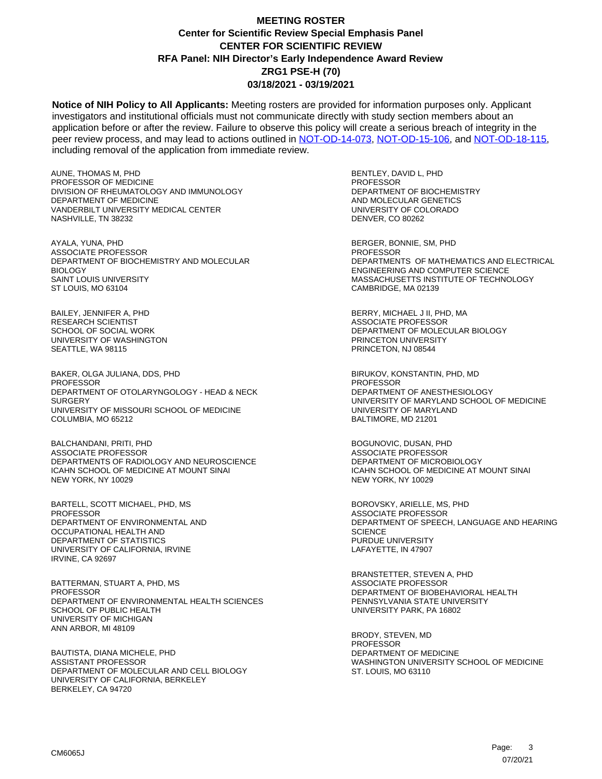**Notice of NIH Policy to All Applicants:** Meeting rosters are provided for information purposes only. Applicant investigators and institutional officials must not communicate directly with study section members about an application before or after the review. Failure to observe this policy will create a serious breach of integrity in the peer review process, and may lead to actions outlined in [NOT-OD-14-073,](https://grants.nih.gov/grants/guide/notice-files/NOT-OD-14-073.html) [NOT-OD-15-106,](https://grants.nih.gov/grants/guide/notice-files/NOT-OD-15-106.html) and [NOT-OD-18-115,](https://grants.nih.gov/grants/guide/notice-files/NOT-OD-18-115.html) including removal of the application from immediate review.

AUNE, THOMAS M, PHD PROFESSOR OF MEDICINE DIVISION OF RHEUMATOLOGY AND IMMUNOLOGY DEPARTMENT OF MEDICINE VANDERBILT UNIVERSITY MEDICAL CENTER NASHVILLE, TN 38232

AYALA, YUNA, PHD ASSOCIATE PROFESSOR DEPARTMENT OF BIOCHEMISTRY AND MOLECULAR **BIOLOGY** SAINT LOUIS UNIVERSITY ST LOUIS, MO 63104

BAILEY, JENNIFER A, PHD RESEARCH SCIENTIST SCHOOL OF SOCIAL WORK UNIVERSITY OF WASHINGTON SEATTLE, WA 98115

BAKER, OLGA JULIANA, DDS, PHD **PROFESSOR** DEPARTMENT OF OTOLARYNGOLOGY - HEAD & NECK **SURGERY** UNIVERSITY OF MISSOURI SCHOOL OF MEDICINE COLUMBIA, MO 65212

BALCHANDANI, PRITI, PHD ASSOCIATE PROFESSOR DEPARTMENTS OF RADIOLOGY AND NEUROSCIENCE ICAHN SCHOOL OF MEDICINE AT MOUNT SINAI NEW YORK, NY 10029

BARTELL, SCOTT MICHAEL, PHD, MS **PROFESSOR** DEPARTMENT OF ENVIRONMENTAL AND OCCUPATIONAL HEALTH AND DEPARTMENT OF STATISTICS UNIVERSITY OF CALIFORNIA, IRVINE IRVINE, CA 92697

BATTERMAN, STUART A, PHD, MS PROFESSOR DEPARTMENT OF ENVIRONMENTAL HEALTH SCIENCES SCHOOL OF PUBLIC HEALTH UNIVERSITY OF MICHIGAN ANN ARBOR, MI 48109

BAUTISTA, DIANA MICHELE, PHD ASSISTANT PROFESSOR DEPARTMENT OF MOLECULAR AND CELL BIOLOGY UNIVERSITY OF CALIFORNIA, BERKELEY BERKELEY, CA 94720

BENTLEY, DAVID L, PHD PROFESSOR DEPARTMENT OF BIOCHEMISTRY AND MOLECULAR GENETICS UNIVERSITY OF COLORADO DENVER, CO 80262

BERGER, BONNIE, SM, PHD **PROFESSOR** DEPARTMENTS OF MATHEMATICS AND ELECTRICAL ENGINEERING AND COMPUTER SCIENCE MASSACHUSETTS INSTITUTE OF TECHNOLOGY CAMBRIDGE, MA 02139

BERRY, MICHAEL J II, PHD, MA ASSOCIATE PROFESSOR DEPARTMENT OF MOLECULAR BIOLOGY PRINCETON UNIVERSITY PRINCETON, NJ 08544

BIRUKOV, KONSTANTIN, PHD, MD **PROFESSOR** DEPARTMENT OF ANESTHESIOLOGY UNIVERSITY OF MARYLAND SCHOOL OF MEDICINE UNIVERSITY OF MARYLAND BALTIMORE, MD 21201

BOGUNOVIC, DUSAN, PHD ASSOCIATE PROFESSOR DEPARTMENT OF MICROBIOLOGY ICAHN SCHOOL OF MEDICINE AT MOUNT SINAI NEW YORK, NY 10029

BOROVSKY, ARIELLE, MS, PHD ASSOCIATE PROFESSOR DEPARTMENT OF SPEECH, LANGUAGE AND HEARING **SCIENCE** PURDUE UNIVERSITY LAFAYETTE, IN 47907

BRANSTETTER, STEVEN A, PHD ASSOCIATE PROFESSOR DEPARTMENT OF BIOBEHAVIORAL HEALTH PENNSYLVANIA STATE UNIVERSITY UNIVERSITY PARK, PA 16802

BRODY, STEVEN, MD PROFESSOR DEPARTMENT OF MEDICINE WASHINGTON UNIVERSITY SCHOOL OF MEDICINE ST. LOUIS, MO 63110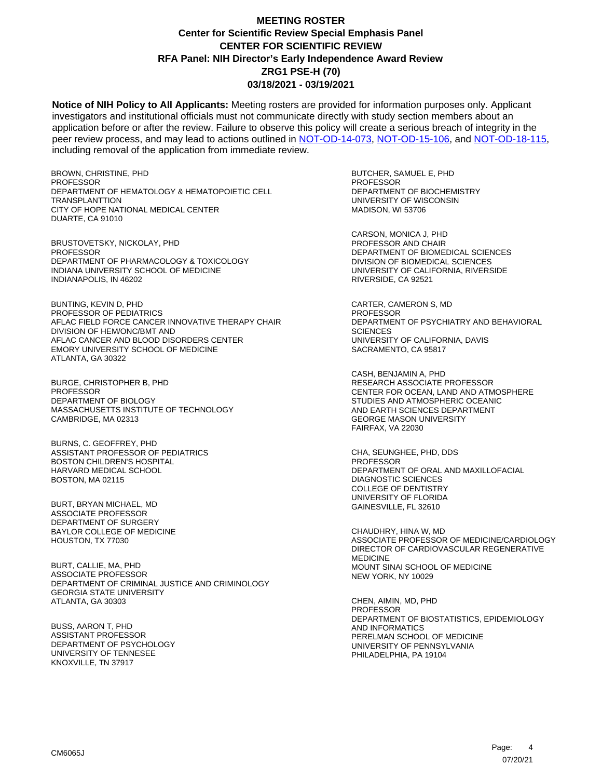**Notice of NIH Policy to All Applicants:** Meeting rosters are provided for information purposes only. Applicant investigators and institutional officials must not communicate directly with study section members about an application before or after the review. Failure to observe this policy will create a serious breach of integrity in the peer review process, and may lead to actions outlined in [NOT-OD-14-073,](https://grants.nih.gov/grants/guide/notice-files/NOT-OD-14-073.html) [NOT-OD-15-106,](https://grants.nih.gov/grants/guide/notice-files/NOT-OD-15-106.html) and [NOT-OD-18-115,](https://grants.nih.gov/grants/guide/notice-files/NOT-OD-18-115.html) including removal of the application from immediate review.

BROWN, CHRISTINE, PHD PROFESSOR DEPARTMENT OF HEMATOLOGY & HEMATOPOIETIC CELL **TRANSPLANTTION** CITY OF HOPE NATIONAL MEDICAL CENTER DUARTE, CA 91010

BRUSTOVETSKY, NICKOLAY, PHD PROFESSOR DEPARTMENT OF PHARMACOLOGY & TOXICOLOGY INDIANA UNIVERSITY SCHOOL OF MEDICINE INDIANAPOLIS, IN 46202

BUNTING, KEVIN D, PHD PROFESSOR OF PEDIATRICS AFLAC FIELD FORCE CANCER INNOVATIVE THERAPY CHAIR DIVISION OF HEM/ONC/BMT AND AFLAC CANCER AND BLOOD DISORDERS CENTER EMORY UNIVERSITY SCHOOL OF MEDICINE ATLANTA, GA 30322

BURGE, CHRISTOPHER B, PHD PROFESSOR DEPARTMENT OF BIOLOGY MASSACHUSETTS INSTITUTE OF TECHNOLOGY CAMBRIDGE, MA 02313

BURNS, C. GEOFFREY, PHD ASSISTANT PROFESSOR OF PEDIATRICS BOSTON CHILDREN'S HOSPITAL HARVARD MEDICAL SCHOOL BOSTON, MA 02115

BURT, BRYAN MICHAEL, MD ASSOCIATE PROFESSOR DEPARTMENT OF SURGERY BAYLOR COLLEGE OF MEDICINE HOUSTON, TX 77030

BURT, CALLIE, MA, PHD ASSOCIATE PROFESSOR DEPARTMENT OF CRIMINAL JUSTICE AND CRIMINOLOGY GEORGIA STATE UNIVERSITY ATLANTA, GA 30303

BUSS, AARON T, PHD ASSISTANT PROFESSOR DEPARTMENT OF PSYCHOLOGY UNIVERSITY OF TENNESEE KNOXVILLE, TN 37917

BUTCHER, SAMUEL E, PHD PROFESSOR DEPARTMENT OF BIOCHEMISTRY UNIVERSITY OF WISCONSIN MADISON, WI 53706

CARSON, MONICA J, PHD PROFESSOR AND CHAIR DEPARTMENT OF BIOMEDICAL SCIENCES DIVISION OF BIOMEDICAL SCIENCES UNIVERSITY OF CALIFORNIA, RIVERSIDE RIVERSIDE, CA 92521

CARTER, CAMERON S, MD **PROFESSOR** DEPARTMENT OF PSYCHIATRY AND BEHAVIORAL **SCIENCES** UNIVERSITY OF CALIFORNIA, DAVIS SACRAMENTO, CA 95817

CASH, BENJAMIN A, PHD RESEARCH ASSOCIATE PROFESSOR CENTER FOR OCEAN, LAND AND ATMOSPHERE STUDIES AND ATMOSPHERIC OCEANIC AND EARTH SCIENCES DEPARTMENT GEORGE MASON UNIVERSITY FAIRFAX, VA 22030

CHA, SEUNGHEE, PHD, DDS PROFESSOR DEPARTMENT OF ORAL AND MAXILLOFACIAL DIAGNOSTIC SCIENCES COLLEGE OF DENTISTRY UNIVERSITY OF FLORIDA GAINESVILLE, FL 32610

CHAUDHRY, HINA W, MD ASSOCIATE PROFESSOR OF MEDICINE/CARDIOLOGY DIRECTOR OF CARDIOVASCULAR REGENERATIVE MEDICINE MOUNT SINAI SCHOOL OF MEDICINE NEW YORK, NY 10029

CHEN, AIMIN, MD, PHD PROFESSOR DEPARTMENT OF BIOSTATISTICS, EPIDEMIOLOGY AND INFORMATICS PERELMAN SCHOOL OF MEDICINE UNIVERSITY OF PENNSYLVANIA PHILADELPHIA, PA 19104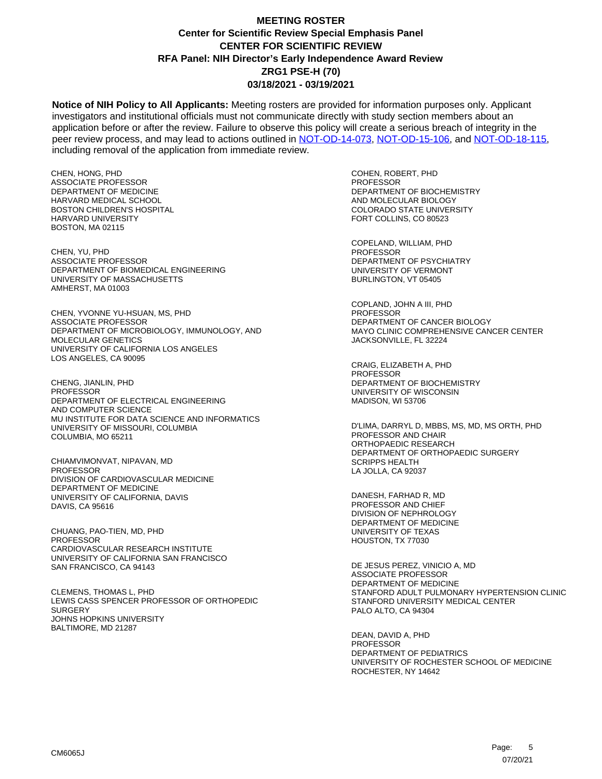**Notice of NIH Policy to All Applicants:** Meeting rosters are provided for information purposes only. Applicant investigators and institutional officials must not communicate directly with study section members about an application before or after the review. Failure to observe this policy will create a serious breach of integrity in the peer review process, and may lead to actions outlined in [NOT-OD-14-073,](https://grants.nih.gov/grants/guide/notice-files/NOT-OD-14-073.html) [NOT-OD-15-106,](https://grants.nih.gov/grants/guide/notice-files/NOT-OD-15-106.html) and [NOT-OD-18-115,](https://grants.nih.gov/grants/guide/notice-files/NOT-OD-18-115.html) including removal of the application from immediate review.

CHEN, HONG, PHD ASSOCIATE PROFESSOR DEPARTMENT OF MEDICINE HARVARD MEDICAL SCHOOL BOSTON CHILDREN'S HOSPITAL HARVARD UNIVERSITY BOSTON, MA 02115

CHEN, YU, PHD ASSOCIATE PROFESSOR DEPARTMENT OF BIOMEDICAL ENGINEERING UNIVERSITY OF MASSACHUSETTS AMHERST, MA 01003

CHEN, YVONNE YU-HSUAN, MS, PHD ASSOCIATE PROFESSOR DEPARTMENT OF MICROBIOLOGY, IMMUNOLOGY, AND MOLECULAR GENETICS UNIVERSITY OF CALIFORNIA LOS ANGELES LOS ANGELES, CA 90095

CHENG, JIANLIN, PHD PROFESSOR DEPARTMENT OF ELECTRICAL ENGINEERING AND COMPUTER SCIENCE MU INSTITUTE FOR DATA SCIENCE AND INFORMATICS UNIVERSITY OF MISSOURI, COLUMBIA COLUMBIA, MO 65211

CHIAMVIMONVAT, NIPAVAN, MD PROFESSOR DIVISION OF CARDIOVASCULAR MEDICINE DEPARTMENT OF MEDICINE UNIVERSITY OF CALIFORNIA, DAVIS DAVIS, CA 95616

CHUANG, PAO-TIEN, MD, PHD PROFESSOR CARDIOVASCULAR RESEARCH INSTITUTE UNIVERSITY OF CALIFORNIA SAN FRANCISCO SAN FRANCISCO, CA 94143

CLEMENS, THOMAS L, PHD LEWIS CASS SPENCER PROFESSOR OF ORTHOPEDIC **SURGERY** JOHNS HOPKINS UNIVERSITY BALTIMORE, MD 21287

COHEN, ROBERT, PHD PROFESSOR DEPARTMENT OF BIOCHEMISTRY AND MOLECULAR BIOLOGY COLORADO STATE UNIVERSITY FORT COLLINS, CO 80523

COPELAND, WILLIAM, PHD PROFESSOR DEPARTMENT OF PSYCHIATRY UNIVERSITY OF VERMONT BURLINGTON, VT 05405

COPLAND, JOHN A III, PHD PROFESSOR DEPARTMENT OF CANCER BIOLOGY MAYO CLINIC COMPREHENSIVE CANCER CENTER JACKSONVILLE, FL 32224

CRAIG, ELIZABETH A, PHD PROFESSOR DEPARTMENT OF BIOCHEMISTRY UNIVERSITY OF WISCONSIN MADISON, WI 53706

D'LIMA, DARRYL D, MBBS, MS, MD, MS ORTH, PHD PROFESSOR AND CHAIR ORTHOPAEDIC RESEARCH DEPARTMENT OF ORTHOPAEDIC SURGERY SCRIPPS HEALTH LA JOLLA, CA 92037

DANESH, FARHAD R, MD PROFESSOR AND CHIEF DIVISION OF NEPHROLOGY DEPARTMENT OF MEDICINE UNIVERSITY OF TEXAS HOUSTON, TX 77030

DE JESUS PEREZ, VINICIO A, MD ASSOCIATE PROFESSOR DEPARTMENT OF MEDICINE STANFORD ADULT PULMONARY HYPERTENSION CLINIC STANFORD UNIVERSITY MEDICAL CENTER PALO ALTO, CA 94304

DEAN, DAVID A, PHD PROFESSOR DEPARTMENT OF PEDIATRICS UNIVERSITY OF ROCHESTER SCHOOL OF MEDICINE ROCHESTER, NY 14642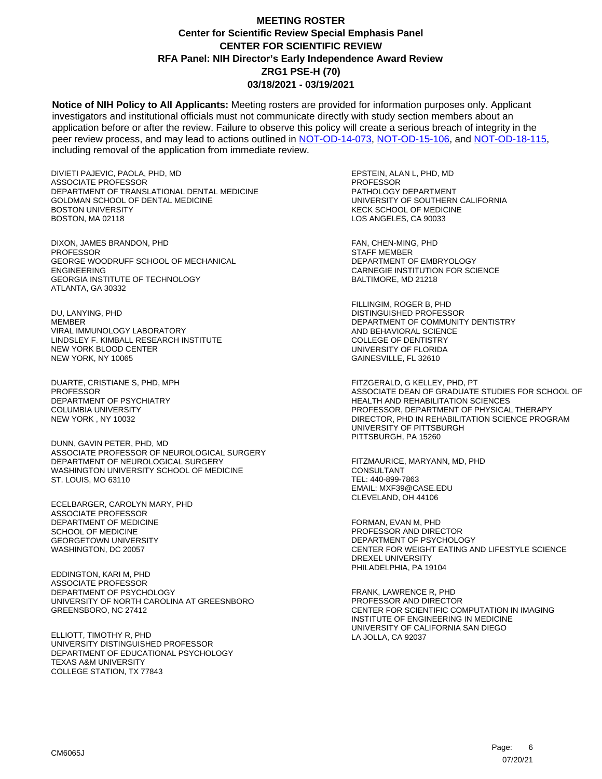**Notice of NIH Policy to All Applicants:** Meeting rosters are provided for information purposes only. Applicant investigators and institutional officials must not communicate directly with study section members about an application before or after the review. Failure to observe this policy will create a serious breach of integrity in the peer review process, and may lead to actions outlined in [NOT-OD-14-073,](https://grants.nih.gov/grants/guide/notice-files/NOT-OD-14-073.html) [NOT-OD-15-106,](https://grants.nih.gov/grants/guide/notice-files/NOT-OD-15-106.html) and [NOT-OD-18-115,](https://grants.nih.gov/grants/guide/notice-files/NOT-OD-18-115.html) including removal of the application from immediate review.

DIVIETI PAJEVIC, PAOLA, PHD, MD ASSOCIATE PROFESSOR DEPARTMENT OF TRANSLATIONAL DENTAL MEDICINE GOLDMAN SCHOOL OF DENTAL MEDICINE BOSTON UNIVERSITY BOSTON, MA 02118

DIXON, JAMES BRANDON, PHD **PROFESSOR** GEORGE WOODRUFF SCHOOL OF MECHANICAL ENGINEERING GEORGIA INSTITUTE OF TECHNOLOGY ATLANTA, GA 30332

DU, LANYING, PHD MEMBER VIRAL IMMUNOLOGY LABORATORY LINDSLEY F. KIMBALL RESEARCH INSTITUTE NEW YORK BLOOD CENTER NEW YORK, NY 10065

DUARTE, CRISTIANE S, PHD, MPH PROFESSOR DEPARTMENT OF PSYCHIATRY COLUMBIA UNIVERSITY NEW YORK , NY 10032

DUNN, GAVIN PETER, PHD, MD ASSOCIATE PROFESSOR OF NEUROLOGICAL SURGERY DEPARTMENT OF NEUROLOGICAL SURGERY WASHINGTON UNIVERSITY SCHOOL OF MEDICINE ST. LOUIS, MO 63110

ECELBARGER, CAROLYN MARY, PHD ASSOCIATE PROFESSOR DEPARTMENT OF MEDICINE SCHOOL OF MEDICINE GEORGETOWN UNIVERSITY WASHINGTON, DC 20057

EDDINGTON, KARI M, PHD ASSOCIATE PROFESSOR DEPARTMENT OF PSYCHOLOGY UNIVERSITY OF NORTH CAROLINA AT GREESNBORO GREENSBORO, NC 27412

ELLIOTT, TIMOTHY R, PHD UNIVERSITY DISTINGUISHED PROFESSOR DEPARTMENT OF EDUCATIONAL PSYCHOLOGY TEXAS A&M UNIVERSITY COLLEGE STATION, TX 77843

EPSTEIN, ALAN L, PHD, MD PROFESSOR PATHOLOGY DEPARTMENT UNIVERSITY OF SOUTHERN CALIFORNIA KECK SCHOOL OF MEDICINE LOS ANGELES, CA 90033

FAN, CHEN-MING, PHD STAFF MEMBER DEPARTMENT OF EMBRYOLOGY CARNEGIE INSTITUTION FOR SCIENCE BALTIMORE, MD 21218

FILLINGIM, ROGER B, PHD DISTINGUISHED PROFESSOR DEPARTMENT OF COMMUNITY DENTISTRY AND BEHAVIORAL SCIENCE COLLEGE OF DENTISTRY UNIVERSITY OF FLORIDA GAINESVILLE, FL 32610

FITZGERALD, G KELLEY, PHD, PT ASSOCIATE DEAN OF GRADUATE STUDIES FOR SCHOOL OF HEALTH AND REHABILITATION SCIENCES PROFESSOR, DEPARTMENT OF PHYSICAL THERAPY DIRECTOR, PHD IN REHABILITATION SCIENCE PROGRAM UNIVERSITY OF PITTSBURGH PITTSBURGH, PA 15260

FITZMAURICE, MARYANN, MD, PHD CONSULTANT TEL: 440-899-7863 EMAIL: MXF39@CASE.EDU CLEVELAND, OH 44106

FORMAN, EVAN M, PHD PROFESSOR AND DIRECTOR DEPARTMENT OF PSYCHOLOGY CENTER FOR WEIGHT EATING AND LIFESTYLE SCIENCE DREXEL UNIVERSITY PHILADELPHIA, PA 19104

FRANK, LAWRENCE R, PHD PROFESSOR AND DIRECTOR CENTER FOR SCIENTIFIC COMPUTATION IN IMAGING INSTITUTE OF ENGINEERING IN MEDICINE UNIVERSITY OF CALIFORNIA SAN DIEGO LA JOLLA, CA 92037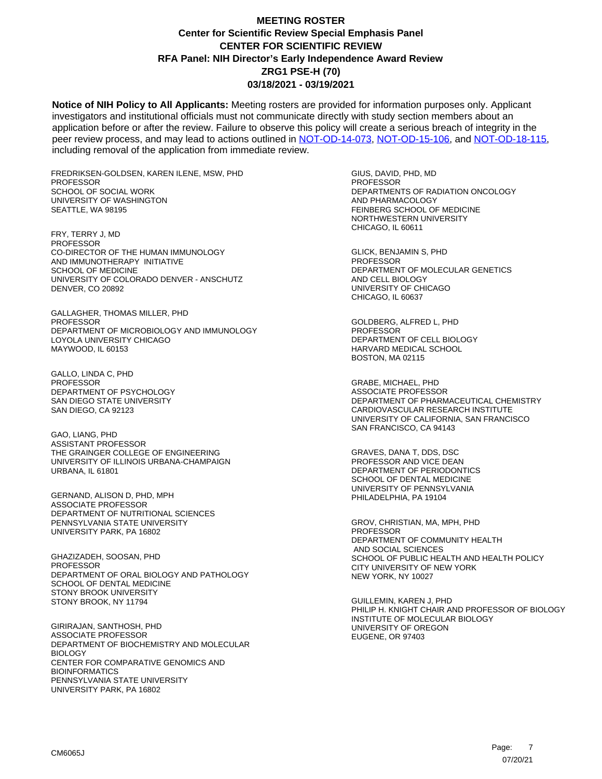**Notice of NIH Policy to All Applicants:** Meeting rosters are provided for information purposes only. Applicant investigators and institutional officials must not communicate directly with study section members about an application before or after the review. Failure to observe this policy will create a serious breach of integrity in the peer review process, and may lead to actions outlined in [NOT-OD-14-073,](https://grants.nih.gov/grants/guide/notice-files/NOT-OD-14-073.html) [NOT-OD-15-106,](https://grants.nih.gov/grants/guide/notice-files/NOT-OD-15-106.html) and [NOT-OD-18-115,](https://grants.nih.gov/grants/guide/notice-files/NOT-OD-18-115.html) including removal of the application from immediate review.

FREDRIKSEN-GOLDSEN, KAREN ILENE, MSW, PHD PROFESSOR SCHOOL OF SOCIAL WORK UNIVERSITY OF WASHINGTON SEATTLE, WA 98195

FRY, TERRY J, MD **PROFESSOR** CO-DIRECTOR OF THE HUMAN IMMUNOLOGY AND IMMUNOTHERAPY INITIATIVE SCHOOL OF MEDICINE UNIVERSITY OF COLORADO DENVER - ANSCHUTZ DENVER, CO 20892

GALLAGHER, THOMAS MILLER, PHD PROFESSOR DEPARTMENT OF MICROBIOLOGY AND IMMUNOLOGY LOYOLA UNIVERSITY CHICAGO MAYWOOD, IL 60153

GALLO, LINDA C, PHD **PROFESSOR** DEPARTMENT OF PSYCHOLOGY SAN DIEGO STATE UNIVERSITY SAN DIEGO, CA 92123

GAO, LIANG, PHD ASSISTANT PROFESSOR THE GRAINGER COLLEGE OF ENGINEERING UNIVERSITY OF ILLINOIS URBANA-CHAMPAIGN URBANA, IL 61801

GERNAND, ALISON D, PHD, MPH ASSOCIATE PROFESSOR DEPARTMENT OF NUTRITIONAL SCIENCES PENNSYLVANIA STATE UNIVERSITY UNIVERSITY PARK, PA 16802

GHAZIZADEH, SOOSAN, PHD PROFESSOR DEPARTMENT OF ORAL BIOLOGY AND PATHOLOGY SCHOOL OF DENTAL MEDICINE STONY BROOK UNIVERSITY STONY BROOK, NY 11794

GIRIRAJAN, SANTHOSH, PHD ASSOCIATE PROFESSOR DEPARTMENT OF BIOCHEMISTRY AND MOLECULAR BIOLOGY CENTER FOR COMPARATIVE GENOMICS AND BIOINFORMATICS PENNSYLVANIA STATE UNIVERSITY UNIVERSITY PARK, PA 16802

GIUS, DAVID, PHD, MD PROFESSOR DEPARTMENTS OF RADIATION ONCOLOGY AND PHARMACOLOGY FEINBERG SCHOOL OF MEDICINE NORTHWESTERN UNIVERSITY CHICAGO, IL 60611

GLICK, BENJAMIN S, PHD **PROFESSOR** DEPARTMENT OF MOLECULAR GENETICS AND CELL BIOLOGY UNIVERSITY OF CHICAGO CHICAGO, IL 60637

GOLDBERG, ALFRED L, PHD PROFESSOR DEPARTMENT OF CELL BIOLOGY HARVARD MEDICAL SCHOOL BOSTON, MA 02115

GRABE, MICHAEL, PHD ASSOCIATE PROFESSOR DEPARTMENT OF PHARMACEUTICAL CHEMISTRY CARDIOVASCULAR RESEARCH INSTITUTE UNIVERSITY OF CALIFORNIA, SAN FRANCISCO SAN FRANCISCO, CA 94143

GRAVES, DANA T, DDS, DSC PROFESSOR AND VICE DEAN DEPARTMENT OF PERIODONTICS SCHOOL OF DENTAL MEDICINE UNIVERSITY OF PENNSYLVANIA PHILADELPHIA, PA 19104

GROV, CHRISTIAN, MA, MPH, PHD PROFESSOR DEPARTMENT OF COMMUNITY HEALTH AND SOCIAL SCIENCES SCHOOL OF PUBLIC HEALTH AND HEALTH POLICY CITY UNIVERSITY OF NEW YORK NEW YORK, NY 10027

GUILLEMIN, KAREN J, PHD PHILIP H. KNIGHT CHAIR AND PROFESSOR OF BIOLOGY INSTITUTE OF MOLECULAR BIOLOGY UNIVERSITY OF OREGON EUGENE, OR 97403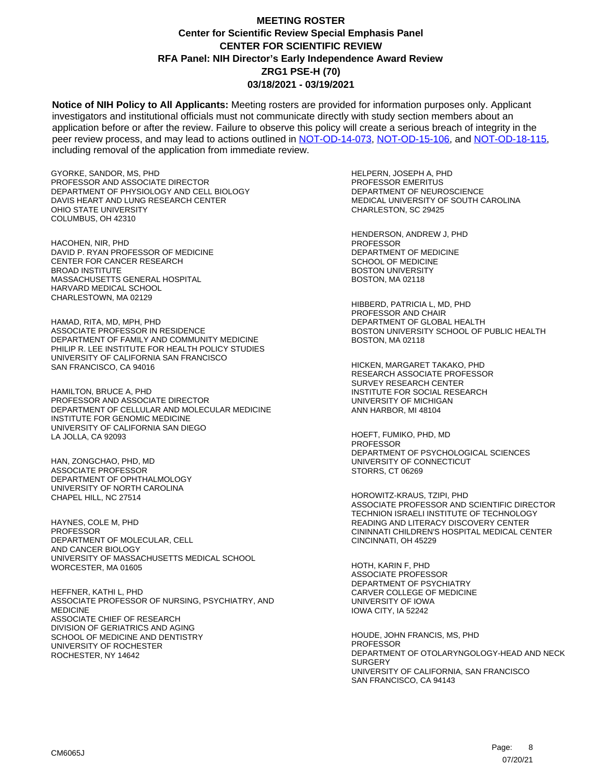**Notice of NIH Policy to All Applicants:** Meeting rosters are provided for information purposes only. Applicant investigators and institutional officials must not communicate directly with study section members about an application before or after the review. Failure to observe this policy will create a serious breach of integrity in the peer review process, and may lead to actions outlined in [NOT-OD-14-073,](https://grants.nih.gov/grants/guide/notice-files/NOT-OD-14-073.html) [NOT-OD-15-106,](https://grants.nih.gov/grants/guide/notice-files/NOT-OD-15-106.html) and [NOT-OD-18-115,](https://grants.nih.gov/grants/guide/notice-files/NOT-OD-18-115.html) including removal of the application from immediate review.

GYORKE, SANDOR, MS, PHD PROFESSOR AND ASSOCIATE DIRECTOR DEPARTMENT OF PHYSIOLOGY AND CELL BIOLOGY DAVIS HEART AND LUNG RESEARCH CENTER OHIO STATE UNIVERSITY COLUMBUS, OH 42310

HACOHEN, NIR, PHD DAVID P. RYAN PROFESSOR OF MEDICINE CENTER FOR CANCER RESEARCH BROAD INSTITUTE MASSACHUSETTS GENERAL HOSPITAL HARVARD MEDICAL SCHOOL CHARLESTOWN, MA 02129

HAMAD, RITA, MD, MPH, PHD ASSOCIATE PROFESSOR IN RESIDENCE DEPARTMENT OF FAMILY AND COMMUNITY MEDICINE PHILIP R. LEE INSTITUTE FOR HEALTH POLICY STUDIES UNIVERSITY OF CALIFORNIA SAN FRANCISCO SAN FRANCISCO, CA 94016

HAMILTON, BRUCE A, PHD PROFESSOR AND ASSOCIATE DIRECTOR DEPARTMENT OF CELLULAR AND MOLECULAR MEDICINE INSTITUTE FOR GENOMIC MEDICINE UNIVERSITY OF CALIFORNIA SAN DIEGO LA JOLLA, CA 92093

HAN, ZONGCHAO, PHD, MD ASSOCIATE PROFESSOR DEPARTMENT OF OPHTHALMOLOGY UNIVERSITY OF NORTH CAROLINA CHAPEL HILL, NC 27514

HAYNES, COLE M, PHD **PROFESSOR** DEPARTMENT OF MOLECULAR, CELL AND CANCER BIOLOGY UNIVERSITY OF MASSACHUSETTS MEDICAL SCHOOL WORCESTER, MA 01605

HEFFNER, KATHI L, PHD ASSOCIATE PROFESSOR OF NURSING, PSYCHIATRY, AND MEDICINE ASSOCIATE CHIEF OF RESEARCH DIVISION OF GERIATRICS AND AGING SCHOOL OF MEDICINE AND DENTISTRY UNIVERSITY OF ROCHESTER ROCHESTER, NY 14642

HELPERN, JOSEPH A, PHD PROFESSOR EMERITUS DEPARTMENT OF NEUROSCIENCE MEDICAL UNIVERSITY OF SOUTH CAROLINA CHARLESTON, SC 29425

HENDERSON, ANDREW J, PHD **PROFESSOR** DEPARTMENT OF MEDICINE SCHOOL OF MEDICINE BOSTON UNIVERSITY BOSTON, MA 02118

HIBBERD, PATRICIA L, MD, PHD PROFESSOR AND CHAIR DEPARTMENT OF GLOBAL HEALTH BOSTON UNIVERSITY SCHOOL OF PUBLIC HEALTH BOSTON, MA 02118

HICKEN, MARGARET TAKAKO, PHD RESEARCH ASSOCIATE PROFESSOR SURVEY RESEARCH CENTER INSTITUTE FOR SOCIAL RESEARCH UNIVERSITY OF MICHIGAN ANN HARBOR, MI 48104

HOEFT, FUMIKO, PHD, MD PROFESSOR DEPARTMENT OF PSYCHOLOGICAL SCIENCES UNIVERSITY OF CONNECTICUT STORRS, CT 06269

HOROWITZ-KRAUS, TZIPI, PHD ASSOCIATE PROFESSOR AND SCIENTIFIC DIRECTOR TECHNION ISRAELI INSTITUTE OF TECHNOLOGY READING AND LITERACY DISCOVERY CENTER CININNATI CHILDREN'S HOSPITAL MEDICAL CENTER CINCINNATI, OH 45229

HOTH, KARIN F, PHD ASSOCIATE PROFESSOR DEPARTMENT OF PSYCHIATRY CARVER COLLEGE OF MEDICINE UNIVERSITY OF IOWA IOWA CITY, IA 52242

HOUDE, JOHN FRANCIS, MS, PHD PROFESSOR DEPARTMENT OF OTOLARYNGOLOGY-HEAD AND NECK **SURGERY** UNIVERSITY OF CALIFORNIA, SAN FRANCISCO SAN FRANCISCO, CA 94143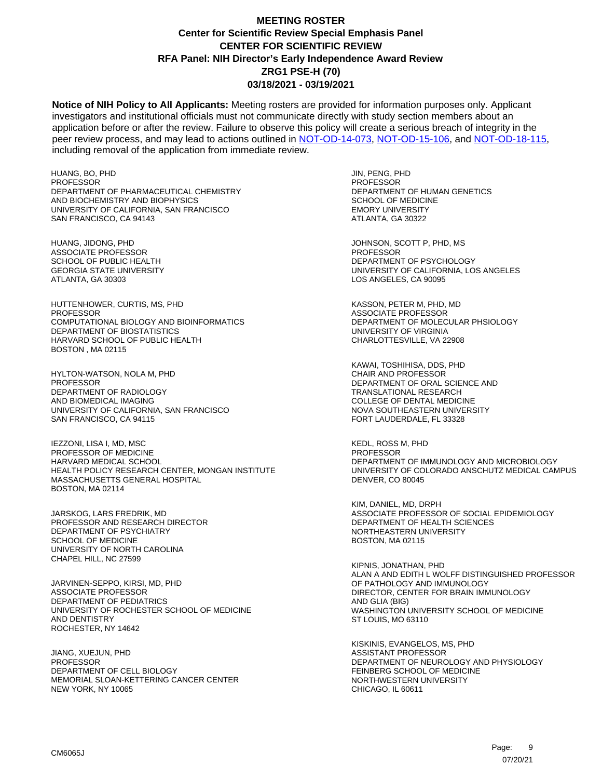**Notice of NIH Policy to All Applicants:** Meeting rosters are provided for information purposes only. Applicant investigators and institutional officials must not communicate directly with study section members about an application before or after the review. Failure to observe this policy will create a serious breach of integrity in the peer review process, and may lead to actions outlined in [NOT-OD-14-073,](https://grants.nih.gov/grants/guide/notice-files/NOT-OD-14-073.html) [NOT-OD-15-106,](https://grants.nih.gov/grants/guide/notice-files/NOT-OD-15-106.html) and [NOT-OD-18-115,](https://grants.nih.gov/grants/guide/notice-files/NOT-OD-18-115.html) including removal of the application from immediate review.

HUANG, BO, PHD PROFESSOR DEPARTMENT OF PHARMACEUTICAL CHEMISTRY AND BIOCHEMISTRY AND BIOPHYSICS UNIVERSITY OF CALIFORNIA, SAN FRANCISCO SAN FRANCISCO, CA 94143

HUANG, JIDONG, PHD ASSOCIATE PROFESSOR SCHOOL OF PUBLIC HEALTH GEORGIA STATE UNIVERSITY ATLANTA, GA 30303

HUTTENHOWER, CURTIS, MS, PHD **PROFESSOR** COMPUTATIONAL BIOLOGY AND BIOINFORMATICS DEPARTMENT OF BIOSTATISTICS HARVARD SCHOOL OF PUBLIC HEALTH BOSTON , MA 02115

HYLTON-WATSON, NOLA M, PHD **PROFESSOR** DEPARTMENT OF RADIOLOGY AND BIOMEDICAL IMAGING UNIVERSITY OF CALIFORNIA, SAN FRANCISCO SAN FRANCISCO, CA 94115

IEZZONI, LISA I, MD, MSC PROFESSOR OF MEDICINE HARVARD MEDICAL SCHOOL HEALTH POLICY RESEARCH CENTER, MONGAN INSTITUTE MASSACHUSETTS GENERAL HOSPITAL BOSTON, MA 02114

JARSKOG, LARS FREDRIK, MD PROFESSOR AND RESEARCH DIRECTOR DEPARTMENT OF PSYCHIATRY SCHOOL OF MEDICINE UNIVERSITY OF NORTH CAROLINA CHAPEL HILL, NC 27599

JARVINEN-SEPPO, KIRSI, MD, PHD ASSOCIATE PROFESSOR DEPARTMENT OF PEDIATRICS UNIVERSITY OF ROCHESTER SCHOOL OF MEDICINE AND DENTISTRY ROCHESTER, NY 14642

JIANG, XUEJUN, PHD PROFESSOR DEPARTMENT OF CELL BIOLOGY MEMORIAL SLOAN-KETTERING CANCER CENTER NEW YORK, NY 10065

JIN, PENG, PHD PROFESSOR DEPARTMENT OF HUMAN GENETICS SCHOOL OF MEDICINE EMORY UNIVERSITY ATLANTA, GA 30322

JOHNSON, SCOTT P, PHD, MS **PROFESSOR** DEPARTMENT OF PSYCHOLOGY UNIVERSITY OF CALIFORNIA, LOS ANGELES LOS ANGELES, CA 90095

KASSON, PETER M, PHD, MD ASSOCIATE PROFESSOR DEPARTMENT OF MOLECULAR PHSIOLOGY UNIVERSITY OF VIRGINIA CHARLOTTESVILLE, VA 22908

KAWAI, TOSHIHISA, DDS, PHD CHAIR AND PROFESSOR DEPARTMENT OF ORAL SCIENCE AND TRANSLATIONAL RESEARCH COLLEGE OF DENTAL MEDICINE NOVA SOUTHEASTERN UNIVERSITY FORT LAUDERDALE, FL 33328

KEDL, ROSS M, PHD PROFESSOR DEPARTMENT OF IMMUNOLOGY AND MICROBIOLOGY UNIVERSITY OF COLORADO ANSCHUTZ MEDICAL CAMPUS DENVER, CO 80045

KIM, DANIEL, MD, DRPH ASSOCIATE PROFESSOR OF SOCIAL EPIDEMIOLOGY DEPARTMENT OF HEALTH SCIENCES NORTHEASTERN UNIVERSITY BOSTON, MA 02115

KIPNIS, JONATHAN, PHD ALAN A AND EDITH L WOLFF DISTINGUISHED PROFESSOR OF PATHOLOGY AND IMMUNOLOGY DIRECTOR, CENTER FOR BRAIN IMMUNOLOGY AND GLIA (BIG) WASHINGTON UNIVERSITY SCHOOL OF MEDICINE ST LOUIS, MO 63110

KISKINIS, EVANGELOS, MS, PHD ASSISTANT PROFESSOR DEPARTMENT OF NEUROLOGY AND PHYSIOLOGY FEINBERG SCHOOL OF MEDICINE NORTHWESTERN UNIVERSITY CHICAGO, IL 60611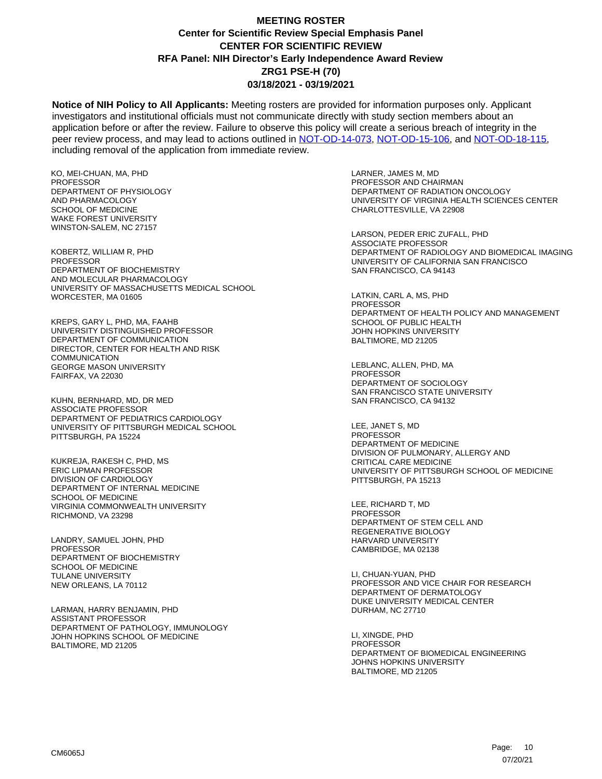**Notice of NIH Policy to All Applicants:** Meeting rosters are provided for information purposes only. Applicant investigators and institutional officials must not communicate directly with study section members about an application before or after the review. Failure to observe this policy will create a serious breach of integrity in the peer review process, and may lead to actions outlined in [NOT-OD-14-073,](https://grants.nih.gov/grants/guide/notice-files/NOT-OD-14-073.html) [NOT-OD-15-106,](https://grants.nih.gov/grants/guide/notice-files/NOT-OD-15-106.html) and [NOT-OD-18-115,](https://grants.nih.gov/grants/guide/notice-files/NOT-OD-18-115.html) including removal of the application from immediate review.

KO, MEI-CHUAN, MA, PHD PROFESSOR DEPARTMENT OF PHYSIOLOGY AND PHARMACOLOGY SCHOOL OF MEDICINE WAKE FOREST UNIVERSITY WINSTON-SALEM, NC 27157

KOBERTZ, WILLIAM R, PHD **PROFESSOR** DEPARTMENT OF BIOCHEMISTRY AND MOLECULAR PHARMACOLOGY UNIVERSITY OF MASSACHUSETTS MEDICAL SCHOOL WORCESTER, MA 01605

KREPS, GARY L, PHD, MA, FAAHB UNIVERSITY DISTINGUISHED PROFESSOR DEPARTMENT OF COMMUNICATION DIRECTOR, CENTER FOR HEALTH AND RISK COMMUNICATION GEORGE MASON UNIVERSITY FAIRFAX, VA 22030

KUHN, BERNHARD, MD, DR MED ASSOCIATE PROFESSOR DEPARTMENT OF PEDIATRICS CARDIOLOGY UNIVERSITY OF PITTSBURGH MEDICAL SCHOOL PITTSBURGH, PA 15224

KUKREJA, RAKESH C, PHD, MS ERIC LIPMAN PROFESSOR DIVISION OF CARDIOLOGY DEPARTMENT OF INTERNAL MEDICINE SCHOOL OF MEDICINE VIRGINIA COMMONWEALTH UNIVERSITY RICHMOND, VA 23298

LANDRY, SAMUEL JOHN, PHD PROFESSOR DEPARTMENT OF BIOCHEMISTRY SCHOOL OF MEDICINE TULANE UNIVERSITY NEW ORLEANS, LA 70112

LARMAN, HARRY BENJAMIN, PHD ASSISTANT PROFESSOR DEPARTMENT OF PATHOLOGY, IMMUNOLOGY JOHN HOPKINS SCHOOL OF MEDICINE BALTIMORE, MD 21205

LARNER, JAMES M, MD PROFESSOR AND CHAIRMAN DEPARTMENT OF RADIATION ONCOLOGY UNIVERSITY OF VIRGINIA HEALTH SCIENCES CENTER CHARLOTTESVILLE, VA 22908

LARSON, PEDER ERIC ZUFALL, PHD ASSOCIATE PROFESSOR DEPARTMENT OF RADIOLOGY AND BIOMEDICAL IMAGING UNIVERSITY OF CALIFORNIA SAN FRANCISCO SAN FRANCISCO, CA 94143

LATKIN, CARL A, MS, PHD PROFESSOR DEPARTMENT OF HEALTH POLICY AND MANAGEMENT SCHOOL OF PUBLIC HEALTH JOHN HOPKINS UNIVERSITY BALTIMORE, MD 21205

LEBLANC, ALLEN, PHD, MA PROFESSOR DEPARTMENT OF SOCIOLOGY SAN FRANCISCO STATE UNIVERSITY SAN FRANCISCO, CA 94132

LEE, JANET S, MD PROFESSOR DEPARTMENT OF MEDICINE DIVISION OF PULMONARY, ALLERGY AND CRITICAL CARE MEDICINE UNIVERSITY OF PITTSBURGH SCHOOL OF MEDICINE PITTSBURGH, PA 15213

LEE, RICHARD T, MD **PROFESSOR** DEPARTMENT OF STEM CELL AND REGENERATIVE BIOLOGY HARVARD UNIVERSITY CAMBRIDGE, MA 02138

LI, CHUAN-YUAN, PHD PROFESSOR AND VICE CHAIR FOR RESEARCH DEPARTMENT OF DERMATOLOGY DUKE UNIVERSITY MEDICAL CENTER DURHAM, NC 27710

LI, XINGDE, PHD PROFESSOR DEPARTMENT OF BIOMEDICAL ENGINEERING JOHNS HOPKINS UNIVERSITY BALTIMORE, MD 21205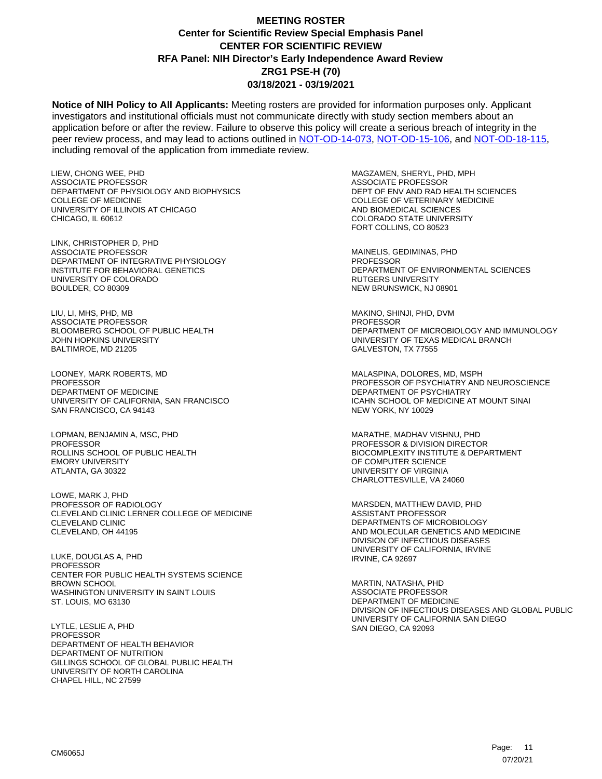**Notice of NIH Policy to All Applicants:** Meeting rosters are provided for information purposes only. Applicant investigators and institutional officials must not communicate directly with study section members about an application before or after the review. Failure to observe this policy will create a serious breach of integrity in the peer review process, and may lead to actions outlined in [NOT-OD-14-073,](https://grants.nih.gov/grants/guide/notice-files/NOT-OD-14-073.html) [NOT-OD-15-106,](https://grants.nih.gov/grants/guide/notice-files/NOT-OD-15-106.html) and [NOT-OD-18-115,](https://grants.nih.gov/grants/guide/notice-files/NOT-OD-18-115.html) including removal of the application from immediate review.

LIEW, CHONG WEE, PHD ASSOCIATE PROFESSOR DEPARTMENT OF PHYSIOLOGY AND BIOPHYSICS COLLEGE OF MEDICINE UNIVERSITY OF ILLINOIS AT CHICAGO CHICAGO, IL 60612

LINK, CHRISTOPHER D, PHD ASSOCIATE PROFESSOR DEPARTMENT OF INTEGRATIVE PHYSIOLOGY INSTITUTE FOR BEHAVIORAL GENETICS UNIVERSITY OF COLORADO BOULDER, CO 80309

LIU, LI, MHS, PHD, MB ASSOCIATE PROFESSOR BLOOMBERG SCHOOL OF PUBLIC HEALTH JOHN HOPKINS UNIVERSITY BALTIMROE, MD 21205

LOONEY, MARK ROBERTS, MD **PROFESSOR** DEPARTMENT OF MEDICINE UNIVERSITY OF CALIFORNIA, SAN FRANCISCO SAN FRANCISCO, CA 94143

LOPMAN, BENJAMIN A, MSC, PHD PROFESSOR ROLLINS SCHOOL OF PUBLIC HEALTH EMORY UNIVERSITY ATLANTA, GA 30322

LOWE, MARK J, PHD PROFESSOR OF RADIOLOGY CLEVELAND CLINIC LERNER COLLEGE OF MEDICINE CLEVELAND CLINIC CLEVELAND, OH 44195

LUKE, DOUGLAS A, PHD PROFESSOR CENTER FOR PUBLIC HEALTH SYSTEMS SCIENCE BROWN SCHOOL WASHINGTON UNIVERSITY IN SAINT LOUIS ST. LOUIS, MO 63130

LYTLE, LESLIE A, PHD **PROFESSOR** DEPARTMENT OF HEALTH BEHAVIOR DEPARTMENT OF NUTRITION GILLINGS SCHOOL OF GLOBAL PUBLIC HEALTH UNIVERSITY OF NORTH CAROLINA CHAPEL HILL, NC 27599

MAGZAMEN, SHERYL, PHD, MPH ASSOCIATE PROFESSOR DEPT OF ENV AND RAD HEALTH SCIENCES COLLEGE OF VETERINARY MEDICINE AND BIOMEDICAL SCIENCES COLORADO STATE UNIVERSITY FORT COLLINS, CO 80523

MAINELIS, GEDIMINAS, PHD **PROFESSOR** DEPARTMENT OF ENVIRONMENTAL SCIENCES RUTGERS UNIVERSITY NEW BRUNSWICK, NJ 08901

MAKINO, SHINJI, PHD, DVM PROFESSOR DEPARTMENT OF MICROBIOLOGY AND IMMUNOLOGY UNIVERSITY OF TEXAS MEDICAL BRANCH GALVESTON, TX 77555

MALASPINA, DOLORES, MD, MSPH PROFESSOR OF PSYCHIATRY AND NEUROSCIENCE DEPARTMENT OF PSYCHIATRY ICAHN SCHOOL OF MEDICINE AT MOUNT SINAI NEW YORK, NY 10029

MARATHE, MADHAV VISHNU, PHD PROFESSOR & DIVISION DIRECTOR BIOCOMPLEXITY INSTITUTE & DEPARTMENT OF COMPUTER SCIENCE UNIVERSITY OF VIRGINIA CHARLOTTESVILLE, VA 24060

MARSDEN, MATTHEW DAVID, PHD ASSISTANT PROFESSOR DEPARTMENTS OF MICROBIOLOGY AND MOLECULAR GENETICS AND MEDICINE DIVISION OF INFECTIOUS DISEASES UNIVERSITY OF CALIFORNIA, IRVINE IRVINE, CA 92697

MARTIN, NATASHA, PHD ASSOCIATE PROFESSOR DEPARTMENT OF MEDICINE DIVISION OF INFECTIOUS DISEASES AND GLOBAL PUBLIC UNIVERSITY OF CALIFORNIA SAN DIEGO SAN DIEGO, CA 92093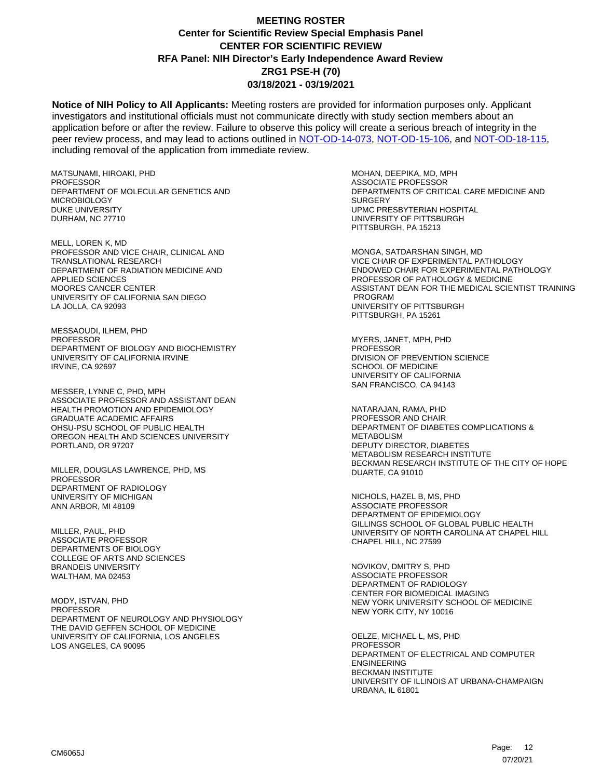**Notice of NIH Policy to All Applicants:** Meeting rosters are provided for information purposes only. Applicant investigators and institutional officials must not communicate directly with study section members about an application before or after the review. Failure to observe this policy will create a serious breach of integrity in the peer review process, and may lead to actions outlined in [NOT-OD-14-073,](https://grants.nih.gov/grants/guide/notice-files/NOT-OD-14-073.html) [NOT-OD-15-106,](https://grants.nih.gov/grants/guide/notice-files/NOT-OD-15-106.html) and [NOT-OD-18-115,](https://grants.nih.gov/grants/guide/notice-files/NOT-OD-18-115.html) including removal of the application from immediate review.

MATSUNAMI, HIROAKI, PHD PROFESSOR DEPARTMENT OF MOLECULAR GENETICS AND MICROBIOLOGY DUKE UNIVERSITY DURHAM, NC 27710

MELL, LOREN K, MD PROFESSOR AND VICE CHAIR, CLINICAL AND TRANSLATIONAL RESEARCH DEPARTMENT OF RADIATION MEDICINE AND APPLIED SCIENCES MOORES CANCER CENTER UNIVERSITY OF CALIFORNIA SAN DIEGO LA JOLLA, CA 92093

MESSAOUDI, ILHEM, PHD **PROFESSOR** DEPARTMENT OF BIOLOGY AND BIOCHEMISTRY UNIVERSITY OF CALIFORNIA IRVINE IRVINE, CA 92697

MESSER, LYNNE C, PHD, MPH ASSOCIATE PROFESSOR AND ASSISTANT DEAN HEALTH PROMOTION AND EPIDEMIOLOGY GRADUATE ACADEMIC AFFAIRS OHSU-PSU SCHOOL OF PUBLIC HEALTH OREGON HEALTH AND SCIENCES UNIVERSITY PORTLAND, OR 97207

MILLER, DOUGLAS LAWRENCE, PHD, MS PROFESSOR DEPARTMENT OF RADIOLOGY UNIVERSITY OF MICHIGAN ANN ARBOR, MI 48109

MILLER, PAUL, PHD ASSOCIATE PROFESSOR DEPARTMENTS OF BIOLOGY COLLEGE OF ARTS AND SCIENCES BRANDEIS UNIVERSITY WALTHAM, MA 02453

MODY, ISTVAN, PHD PROFESSOR DEPARTMENT OF NEUROLOGY AND PHYSIOLOGY THE DAVID GEFFEN SCHOOL OF MEDICINE UNIVERSITY OF CALIFORNIA, LOS ANGELES LOS ANGELES, CA 90095

MOHAN, DEEPIKA, MD, MPH ASSOCIATE PROFESSOR DEPARTMENTS OF CRITICAL CARE MEDICINE AND **SURGERY** UPMC PRESBYTERIAN HOSPITAL UNIVERSITY OF PITTSBURGH PITTSBURGH, PA 15213

MONGA, SATDARSHAN SINGH, MD VICE CHAIR OF EXPERIMENTAL PATHOLOGY ENDOWED CHAIR FOR EXPERIMENTAL PATHOLOGY PROFESSOR OF PATHOLOGY & MEDICINE ASSISTANT DEAN FOR THE MEDICAL SCIENTIST TRAINING PROGRAM UNIVERSITY OF PITTSBURGH PITTSBURGH, PA 15261

MYERS, JANET, MPH, PHD PROFESSOR DIVISION OF PREVENTION SCIENCE SCHOOL OF MEDICINE UNIVERSITY OF CALIFORNIA SAN FRANCISCO, CA 94143

NATARAJAN, RAMA, PHD PROFESSOR AND CHAIR DEPARTMENT OF DIABETES COMPLICATIONS & METABOLISM DEPUTY DIRECTOR, DIABETES METABOLISM RESEARCH INSTITUTE BECKMAN RESEARCH INSTITUTE OF THE CITY OF HOPE DUARTE, CA 91010

NICHOLS, HAZEL B, MS, PHD ASSOCIATE PROFESSOR DEPARTMENT OF EPIDEMIOLOGY GILLINGS SCHOOL OF GLOBAL PUBLIC HEALTH UNIVERSITY OF NORTH CAROLINA AT CHAPEL HILL CHAPEL HILL, NC 27599

NOVIKOV, DMITRY S, PHD ASSOCIATE PROFESSOR DEPARTMENT OF RADIOLOGY CENTER FOR BIOMEDICAL IMAGING NEW YORK UNIVERSITY SCHOOL OF MEDICINE NEW YORK CITY, NY 10016

OELZE, MICHAEL L, MS, PHD PROFESSOR DEPARTMENT OF ELECTRICAL AND COMPUTER ENGINEERING BECKMAN INSTITUTE UNIVERSITY OF ILLINOIS AT URBANA-CHAMPAIGN URBANA, IL 61801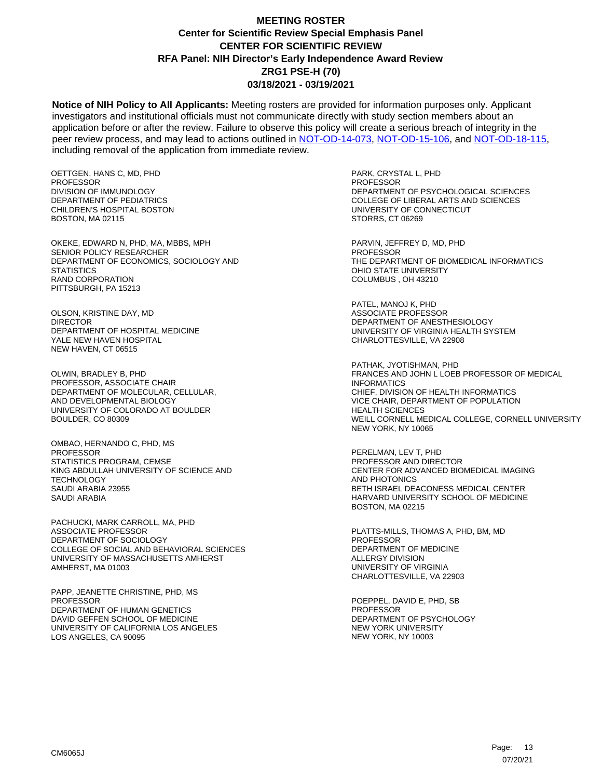**Notice of NIH Policy to All Applicants:** Meeting rosters are provided for information purposes only. Applicant investigators and institutional officials must not communicate directly with study section members about an application before or after the review. Failure to observe this policy will create a serious breach of integrity in the peer review process, and may lead to actions outlined in [NOT-OD-14-073,](https://grants.nih.gov/grants/guide/notice-files/NOT-OD-14-073.html) [NOT-OD-15-106,](https://grants.nih.gov/grants/guide/notice-files/NOT-OD-15-106.html) and [NOT-OD-18-115,](https://grants.nih.gov/grants/guide/notice-files/NOT-OD-18-115.html) including removal of the application from immediate review.

OETTGEN, HANS C, MD, PHD PROFESSOR DIVISION OF IMMUNOLOGY DEPARTMENT OF PEDIATRICS CHILDREN'S HOSPITAL BOSTON BOSTON, MA 02115

OKEKE, EDWARD N, PHD, MA, MBBS, MPH SENIOR POLICY RESEARCHER DEPARTMENT OF ECONOMICS, SOCIOLOGY AND **STATISTICS** RAND CORPORATION PITTSBURGH, PA 15213

OLSON, KRISTINE DAY, MD DIRECTOR DEPARTMENT OF HOSPITAL MEDICINE YALE NEW HAVEN HOSPITAL NEW HAVEN, CT 06515

OLWIN, BRADLEY B, PHD PROFESSOR, ASSOCIATE CHAIR DEPARTMENT OF MOLECULAR, CELLULAR, AND DEVELOPMENTAL BIOLOGY UNIVERSITY OF COLORADO AT BOULDER BOULDER, CO 80309

OMBAO, HERNANDO C, PHD, MS PROFESSOR STATISTICS PROGRAM, CEMSE KING ABDULLAH UNIVERSITY OF SCIENCE AND **TECHNOLOGY** SAUDI ARABIA 23955 SAUDI ARABIA

PACHUCKI, MARK CARROLL, MA, PHD ASSOCIATE PROFESSOR DEPARTMENT OF SOCIOLOGY COLLEGE OF SOCIAL AND BEHAVIORAL SCIENCES UNIVERSITY OF MASSACHUSETTS AMHERST AMHERST, MA 01003

PAPP, JEANETTE CHRISTINE, PHD, MS **PROFESSOR** DEPARTMENT OF HUMAN GENETICS DAVID GEFFEN SCHOOL OF MEDICINE UNIVERSITY OF CALIFORNIA LOS ANGELES LOS ANGELES, CA 90095

PARK, CRYSTAL L, PHD PROFESSOR DEPARTMENT OF PSYCHOLOGICAL SCIENCES COLLEGE OF LIBERAL ARTS AND SCIENCES UNIVERSITY OF CONNECTICUT STORRS, CT 06269

PARVIN, JEFFREY D, MD, PHD PROFESSOR THE DEPARTMENT OF BIOMEDICAL INFORMATICS OHIO STATE UNIVERSITY COLUMBUS , OH 43210

PATEL, MANOJ K, PHD ASSOCIATE PROFESSOR DEPARTMENT OF ANESTHESIOLOGY UNIVERSITY OF VIRGINIA HEALTH SYSTEM CHARLOTTESVILLE, VA 22908

PATHAK, JYOTISHMAN, PHD FRANCES AND JOHN L LOEB PROFESSOR OF MEDICAL INFORMATICS CHIEF, DIVISION OF HEALTH INFORMATICS VICE CHAIR, DEPARTMENT OF POPULATION HEALTH SCIENCES WEILL CORNELL MEDICAL COLLEGE, CORNELL UNIVERSITY NEW YORK, NY 10065

PERELMAN, LEV T, PHD PROFESSOR AND DIRECTOR CENTER FOR ADVANCED BIOMEDICAL IMAGING AND PHOTONICS BETH ISRAEL DEACONESS MEDICAL CENTER HARVARD UNIVERSITY SCHOOL OF MEDICINE BOSTON, MA 02215

PLATTS-MILLS, THOMAS A, PHD, BM, MD PROFESSOR DEPARTMENT OF MEDICINE ALLERGY DIVISION UNIVERSITY OF VIRGINIA CHARLOTTESVILLE, VA 22903

POEPPEL, DAVID E, PHD, SB PROFESSOR DEPARTMENT OF PSYCHOLOGY NEW YORK UNIVERSITY NEW YORK, NY 10003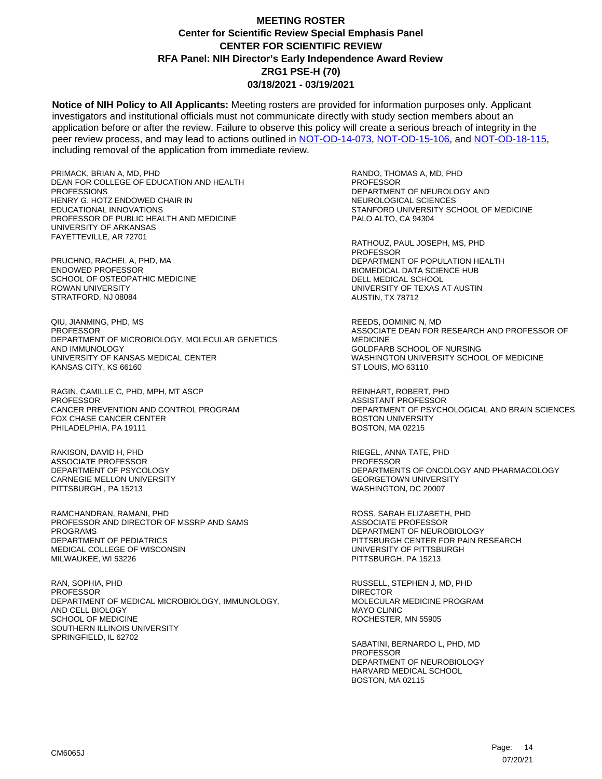**Notice of NIH Policy to All Applicants:** Meeting rosters are provided for information purposes only. Applicant investigators and institutional officials must not communicate directly with study section members about an application before or after the review. Failure to observe this policy will create a serious breach of integrity in the peer review process, and may lead to actions outlined in [NOT-OD-14-073,](https://grants.nih.gov/grants/guide/notice-files/NOT-OD-14-073.html) [NOT-OD-15-106,](https://grants.nih.gov/grants/guide/notice-files/NOT-OD-15-106.html) and [NOT-OD-18-115,](https://grants.nih.gov/grants/guide/notice-files/NOT-OD-18-115.html) including removal of the application from immediate review.

PRIMACK, BRIAN A, MD, PHD DEAN FOR COLLEGE OF EDUCATION AND HEALTH PROFESSIONS HENRY G. HOTZ ENDOWED CHAIR IN EDUCATIONAL INNOVATIONS PROFESSOR OF PUBLIC HEALTH AND MEDICINE UNIVERSITY OF ARKANSAS FAYETTEVILLE, AR 72701

PRUCHNO, RACHEL A, PHD, MA ENDOWED PROFESSOR SCHOOL OF OSTEOPATHIC MEDICINE ROWAN UNIVERSITY STRATFORD, NJ 08084

QIU, JIANMING, PHD, MS **PROFESSOR** DEPARTMENT OF MICROBIOLOGY, MOLECULAR GENETICS AND IMMUNOLOGY UNIVERSITY OF KANSAS MEDICAL CENTER KANSAS CITY, KS 66160

RAGIN, CAMILLE C, PHD, MPH, MT ASCP PROFESSOR CANCER PREVENTION AND CONTROL PROGRAM FOX CHASE CANCER CENTER PHILADELPHIA, PA 19111

RAKISON, DAVID H, PHD ASSOCIATE PROFESSOR DEPARTMENT OF PSYCOLOGY CARNEGIE MELLON UNIVERSITY PITTSBURGH , PA 15213

RAMCHANDRAN, RAMANI, PHD PROFESSOR AND DIRECTOR OF MSSRP AND SAMS PROGRAMS DEPARTMENT OF PEDIATRICS MEDICAL COLLEGE OF WISCONSIN MILWAUKEE, WI 53226

RAN, SOPHIA, PHD PROFESSOR DEPARTMENT OF MEDICAL MICROBIOLOGY, IMMUNOLOGY, AND CELL BIOLOGY SCHOOL OF MEDICINE SOUTHERN ILLINOIS UNIVERSITY SPRINGFIELD, IL 62702

RANDO, THOMAS A, MD, PHD PROFESSOR DEPARTMENT OF NEUROLOGY AND NEUROLOGICAL SCIENCES STANFORD UNIVERSITY SCHOOL OF MEDICINE PALO ALTO, CA 94304

RATHOUZ, PAUL JOSEPH, MS, PHD PROFESSOR DEPARTMENT OF POPULATION HEALTH BIOMEDICAL DATA SCIENCE HUB DELL MEDICAL SCHOOL UNIVERSITY OF TEXAS AT AUSTIN AUSTIN, TX 78712

REEDS, DOMINIC N, MD ASSOCIATE DEAN FOR RESEARCH AND PROFESSOR OF MEDICINE GOLDFARB SCHOOL OF NURSING WASHINGTON UNIVERSITY SCHOOL OF MEDICINE ST LOUIS, MO 63110

REINHART, ROBERT, PHD ASSISTANT PROFESSOR DEPARTMENT OF PSYCHOLOGICAL AND BRAIN SCIENCES BOSTON UNIVERSITY BOSTON, MA 02215

RIEGEL, ANNA TATE, PHD PROFESSOR DEPARTMENTS OF ONCOLOGY AND PHARMACOLOGY GEORGETOWN UNIVERSITY WASHINGTON, DC 20007

ROSS, SARAH ELIZABETH, PHD ASSOCIATE PROFESSOR DEPARTMENT OF NEUROBIOLOGY PITTSBURGH CENTER FOR PAIN RESEARCH UNIVERSITY OF PITTSBURGH PITTSBURGH, PA 15213

RUSSELL, STEPHEN J, MD, PHD DIRECTOR MOLECULAR MEDICINE PROGRAM MAYO CLINIC ROCHESTER, MN 55905

SABATINI, BERNARDO L, PHD, MD PROFESSOR DEPARTMENT OF NEUROBIOLOGY HARVARD MEDICAL SCHOOL BOSTON, MA 02115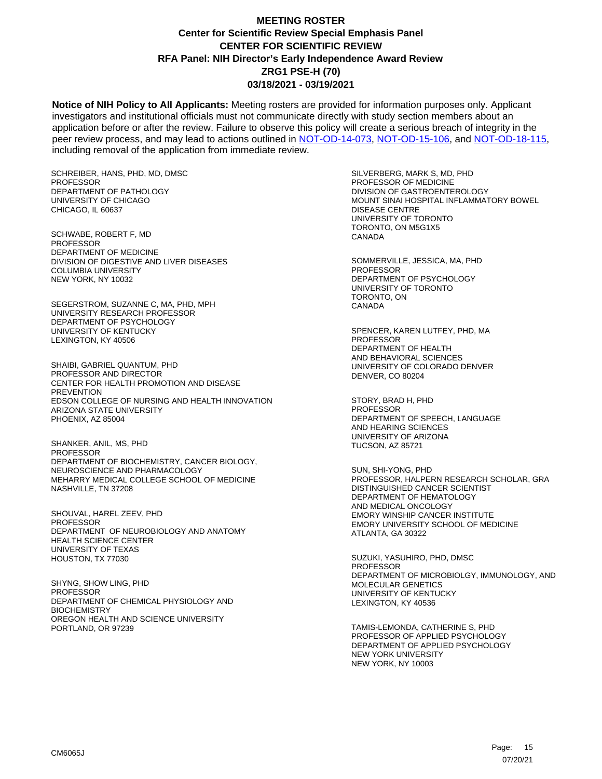**Notice of NIH Policy to All Applicants:** Meeting rosters are provided for information purposes only. Applicant investigators and institutional officials must not communicate directly with study section members about an application before or after the review. Failure to observe this policy will create a serious breach of integrity in the peer review process, and may lead to actions outlined in [NOT-OD-14-073,](https://grants.nih.gov/grants/guide/notice-files/NOT-OD-14-073.html) [NOT-OD-15-106,](https://grants.nih.gov/grants/guide/notice-files/NOT-OD-15-106.html) and [NOT-OD-18-115,](https://grants.nih.gov/grants/guide/notice-files/NOT-OD-18-115.html) including removal of the application from immediate review.

SCHREIBER, HANS, PHD, MD, DMSC PROFESSOR DEPARTMENT OF PATHOLOGY UNIVERSITY OF CHICAGO CHICAGO, IL 60637

SCHWABE, ROBERT F, MD **PROFESSOR** DEPARTMENT OF MEDICINE DIVISION OF DIGESTIVE AND LIVER DISEASES COLUMBIA UNIVERSITY NEW YORK, NY 10032

SEGERSTROM, SUZANNE C, MA, PHD, MPH UNIVERSITY RESEARCH PROFESSOR DEPARTMENT OF PSYCHOLOGY UNIVERSITY OF KENTUCKY LEXINGTON, KY 40506

SHAIBI, GABRIEL QUANTUM, PHD PROFESSOR AND DIRECTOR CENTER FOR HEALTH PROMOTION AND DISEASE PREVENTION EDSON COLLEGE OF NURSING AND HEALTH INNOVATION ARIZONA STATE UNIVERSITY PHOENIX, AZ 85004

SHANKER, ANIL, MS, PHD PROFESSOR DEPARTMENT OF BIOCHEMISTRY, CANCER BIOLOGY, NEUROSCIENCE AND PHARMACOLOGY MEHARRY MEDICAL COLLEGE SCHOOL OF MEDICINE NASHVILLE, TN 37208

SHOUVAL, HAREL ZEEV, PHD PROFESSOR DEPARTMENT OF NEUROBIOLOGY AND ANATOMY HEALTH SCIENCE CENTER UNIVERSITY OF TEXAS HOUSTON, TX 77030

SHYNG, SHOW LING, PHD PROFESSOR DEPARTMENT OF CHEMICAL PHYSIOLOGY AND **BIOCHEMISTRY** OREGON HEALTH AND SCIENCE UNIVERSITY PORTLAND, OR 97239

SILVERBERG, MARK S, MD, PHD PROFESSOR OF MEDICINE DIVISION OF GASTROENTEROLOGY MOUNT SINAI HOSPITAL INFLAMMATORY BOWEL DISEASE CENTRE UNIVERSITY OF TORONTO TORONTO, ON M5G1X5 CANADA

SOMMERVILLE, JESSICA, MA, PHD PROFESSOR DEPARTMENT OF PSYCHOLOGY UNIVERSITY OF TORONTO TORONTO, ON CANADA

SPENCER, KAREN LUTFEY, PHD, MA PROFESSOR DEPARTMENT OF HEALTH AND BEHAVIORAL SCIENCES UNIVERSITY OF COLORADO DENVER DENVER, CO 80204

STORY, BRAD H, PHD **PROFESSOR** DEPARTMENT OF SPEECH, LANGUAGE AND HEARING SCIENCES UNIVERSITY OF ARIZONA TUCSON, AZ 85721

SUN, SHI-YONG, PHD PROFESSOR, HALPERN RESEARCH SCHOLAR, GRA DISTINGUISHED CANCER SCIENTIST DEPARTMENT OF HEMATOLOGY AND MEDICAL ONCOLOGY EMORY WINSHIP CANCER INSTITUTE EMORY UNIVERSITY SCHOOL OF MEDICINE ATLANTA, GA 30322

SUZUKI, YASUHIRO, PHD, DMSC PROFESSOR DEPARTMENT OF MICROBIOLGY, IMMUNOLOGY, AND MOLECULAR GENETICS UNIVERSITY OF KENTUCKY LEXINGTON, KY 40536

TAMIS-LEMONDA, CATHERINE S, PHD PROFESSOR OF APPLIED PSYCHOLOGY DEPARTMENT OF APPLIED PSYCHOLOGY NEW YORK UNIVERSITY NEW YORK, NY 10003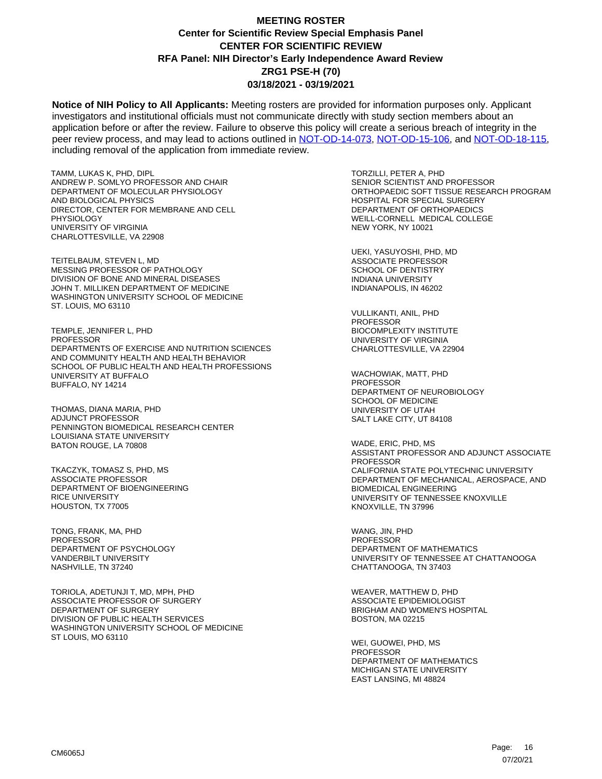**Notice of NIH Policy to All Applicants:** Meeting rosters are provided for information purposes only. Applicant investigators and institutional officials must not communicate directly with study section members about an application before or after the review. Failure to observe this policy will create a serious breach of integrity in the peer review process, and may lead to actions outlined in [NOT-OD-14-073,](https://grants.nih.gov/grants/guide/notice-files/NOT-OD-14-073.html) [NOT-OD-15-106,](https://grants.nih.gov/grants/guide/notice-files/NOT-OD-15-106.html) and [NOT-OD-18-115,](https://grants.nih.gov/grants/guide/notice-files/NOT-OD-18-115.html) including removal of the application from immediate review.

TAMM, LUKAS K, PHD, DIPL ANDREW P. SOMLYO PROFESSOR AND CHAIR DEPARTMENT OF MOLECULAR PHYSIOLOGY AND BIOLOGICAL PHYSICS DIRECTOR, CENTER FOR MEMBRANE AND CELL **PHYSIOLOGY** UNIVERSITY OF VIRGINIA CHARLOTTESVILLE, VA 22908

TEITELBAUM, STEVEN L, MD MESSING PROFESSOR OF PATHOLOGY DIVISION OF BONE AND MINERAL DISEASES JOHN T. MILLIKEN DEPARTMENT OF MEDICINE WASHINGTON UNIVERSITY SCHOOL OF MEDICINE ST. LOUIS, MO 63110

TEMPLE, JENNIFER L, PHD PROFESSOR DEPARTMENTS OF EXERCISE AND NUTRITION SCIENCES AND COMMUNITY HEALTH AND HEALTH BEHAVIOR SCHOOL OF PUBLIC HEALTH AND HEALTH PROFESSIONS UNIVERSITY AT BUFFALO BUFFALO, NY 14214

THOMAS, DIANA MARIA, PHD ADJUNCT PROFESSOR PENNINGTON BIOMEDICAL RESEARCH CENTER LOUISIANA STATE UNIVERSITY BATON ROUGE, LA 70808

TKACZYK, TOMASZ S, PHD, MS ASSOCIATE PROFESSOR DEPARTMENT OF BIOENGINEERING RICE UNIVERSITY HOUSTON, TX 77005

TONG, FRANK, MA, PHD PROFESSOR DEPARTMENT OF PSYCHOLOGY VANDERBILT UNIVERSITY NASHVILLE, TN 37240

TORIOLA, ADETUNJI T, MD, MPH, PHD ASSOCIATE PROFESSOR OF SURGERY DEPARTMENT OF SURGERY DIVISION OF PUBLIC HEALTH SERVICES WASHINGTON UNIVERSITY SCHOOL OF MEDICINE ST LOUIS, MO 63110

TORZILLI, PETER A, PHD SENIOR SCIENTIST AND PROFESSOR ORTHOPAEDIC SOFT TISSUE RESEARCH PROGRAM HOSPITAL FOR SPECIAL SURGERY DEPARTMENT OF ORTHOPAEDICS WEILL-CORNELL MEDICAL COLLEGE NEW YORK, NY 10021

UEKI, YASUYOSHI, PHD, MD ASSOCIATE PROFESSOR SCHOOL OF DENTISTRY INDIANA UNIVERSITY INDIANAPOLIS, IN 46202

VULLIKANTI, ANIL, PHD PROFESSOR BIOCOMPLEXITY INSTITUTE UNIVERSITY OF VIRGINIA CHARLOTTESVILLE, VA 22904

WACHOWIAK, MATT, PHD PROFESSOR DEPARTMENT OF NEUROBIOLOGY SCHOOL OF MEDICINE UNIVERSITY OF UTAH SALT LAKE CITY, UT 84108

WADE, ERIC, PHD, MS ASSISTANT PROFESSOR AND ADJUNCT ASSOCIATE PROFESSOR CALIFORNIA STATE POLYTECHNIC UNIVERSITY DEPARTMENT OF MECHANICAL, AEROSPACE, AND BIOMEDICAL ENGINEERING UNIVERSITY OF TENNESSEE KNOXVILLE KNOXVILLE, TN 37996

WANG, JIN, PHD PROFESSOR DEPARTMENT OF MATHEMATICS UNIVERSITY OF TENNESSEE AT CHATTANOOGA CHATTANOOGA, TN 37403

WEAVER, MATTHEW D, PHD ASSOCIATE EPIDEMIOLOGIST BRIGHAM AND WOMEN'S HOSPITAL BOSTON, MA 02215

WEI, GUOWEI, PHD, MS PROFESSOR DEPARTMENT OF MATHEMATICS MICHIGAN STATE UNIVERSITY EAST LANSING, MI 48824